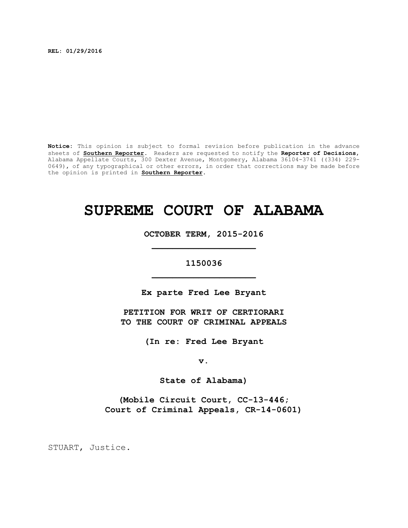**REL: 01/29/2016**

**Notice:** This opinion is subject to formal revision before publication in the advance sheets of **Southern Reporter**. Readers are requested to notify the **Reporter of Decisions**, Alabama Appellate Courts, 300 Dexter Avenue, Montgomery, Alabama 36104-3741 ((334) 229- 0649), of any typographical or other errors, in order that corrections may be made before the opinion is printed in **Southern Reporter**.

# **SUPREME COURT OF ALABAMA**

**OCTOBER TERM, 2015-2016 \_\_\_\_\_\_\_\_\_\_\_\_\_\_\_\_\_\_\_\_**

**1150036 \_\_\_\_\_\_\_\_\_\_\_\_\_\_\_\_\_\_\_\_**

**Ex parte Fred Lee Bryant**

**PETITION FOR WRIT OF CERTIORARI TO THE COURT OF CRIMINAL APPEALS**

**(In re: Fred Lee Bryant**

**v.**

**State of Alabama)**

**(Mobile Circuit Court, CC-13-446; Court of Criminal Appeals, CR-14-0601)**

STUART, Justice.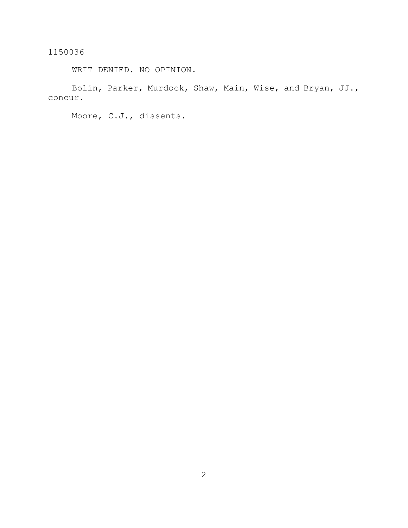WRIT DENIED. NO OPINION.

Bolin, Parker, Murdock, Shaw, Main, Wise, and Bryan, JJ., concur.

Moore, C.J., dissents.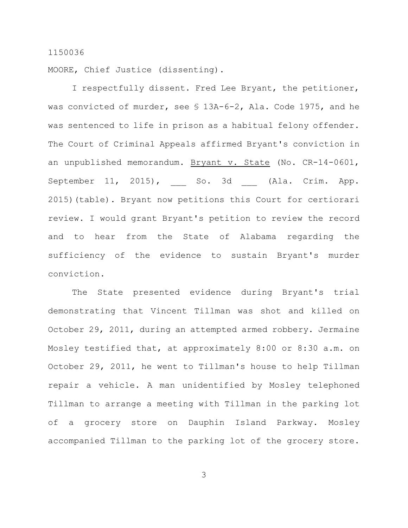MOORE, Chief Justice (dissenting).

I respectfully dissent. Fred Lee Bryant, the petitioner, was convicted of murder, see § 13A-6-2, Ala. Code 1975, and he was sentenced to life in prison as a habitual felony offender. The Court of Criminal Appeals affirmed Bryant's conviction in an unpublished memorandum. Bryant v. State (No. CR-14-0601, September 11, 2015), So. 3d \_\_ (Ala. Crim. App. 2015)(table). Bryant now petitions this Court for certiorari review. I would grant Bryant's petition to review the record and to hear from the State of Alabama regarding the sufficiency of the evidence to sustain Bryant's murder conviction.

The State presented evidence during Bryant's trial demonstrating that Vincent Tillman was shot and killed on October 29, 2011, during an attempted armed robbery. Jermaine Mosley testified that, at approximately 8:00 or 8:30 a.m. on October 29, 2011, he went to Tillman's house to help Tillman repair a vehicle. A man unidentified by Mosley telephoned Tillman to arrange a meeting with Tillman in the parking lot of a grocery store on Dauphin Island Parkway. Mosley accompanied Tillman to the parking lot of the grocery store.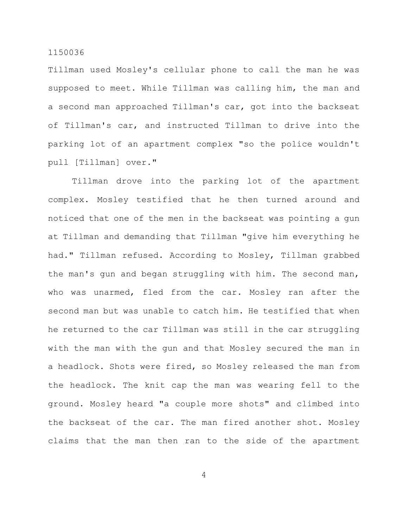Tillman used Mosley's cellular phone to call the man he was supposed to meet. While Tillman was calling him, the man and a second man approached Tillman's car, got into the backseat of Tillman's car, and instructed Tillman to drive into the parking lot of an apartment complex "so the police wouldn't pull [Tillman] over."

Tillman drove into the parking lot of the apartment complex. Mosley testified that he then turned around and noticed that one of the men in the backseat was pointing a gun at Tillman and demanding that Tillman "give him everything he had." Tillman refused. According to Mosley, Tillman grabbed the man's gun and began struggling with him. The second man, who was unarmed, fled from the car. Mosley ran after the second man but was unable to catch him. He testified that when he returned to the car Tillman was still in the car struggling with the man with the gun and that Mosley secured the man in a headlock. Shots were fired, so Mosley released the man from the headlock. The knit cap the man was wearing fell to the ground. Mosley heard "a couple more shots" and climbed into the backseat of the car. The man fired another shot. Mosley claims that the man then ran to the side of the apartment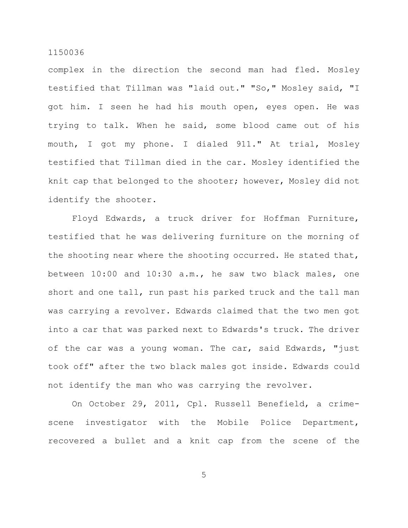complex in the direction the second man had fled. Mosley testified that Tillman was "laid out." "So," Mosley said, "I got him. I seen he had his mouth open, eyes open. He was trying to talk. When he said, some blood came out of his mouth, I got my phone. I dialed 911." At trial, Mosley testified that Tillman died in the car. Mosley identified the knit cap that belonged to the shooter; however, Mosley did not identify the shooter.

Floyd Edwards, a truck driver for Hoffman Furniture, testified that he was delivering furniture on the morning of the shooting near where the shooting occurred. He stated that, between 10:00 and 10:30 a.m., he saw two black males, one short and one tall, run past his parked truck and the tall man was carrying a revolver. Edwards claimed that the two men got into a car that was parked next to Edwards's truck. The driver of the car was a young woman. The car, said Edwards, "just took off" after the two black males got inside. Edwards could not identify the man who was carrying the revolver.

On October 29, 2011, Cpl. Russell Benefield, a crimescene investigator with the Mobile Police Department, recovered a bullet and a knit cap from the scene of the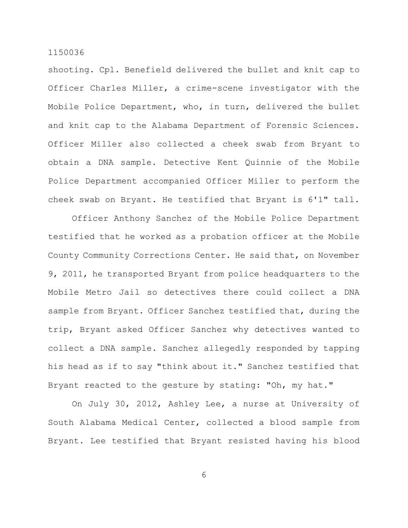shooting. Cpl. Benefield delivered the bullet and knit cap to Officer Charles Miller, a crime-scene investigator with the Mobile Police Department, who, in turn, delivered the bullet and knit cap to the Alabama Department of Forensic Sciences. Officer Miller also collected a cheek swab from Bryant to obtain a DNA sample. Detective Kent Quinnie of the Mobile Police Department accompanied Officer Miller to perform the cheek swab on Bryant. He testified that Bryant is 6'1" tall.

Officer Anthony Sanchez of the Mobile Police Department testified that he worked as a probation officer at the Mobile County Community Corrections Center. He said that, on November 9, 2011, he transported Bryant from police headquarters to the Mobile Metro Jail so detectives there could collect a DNA sample from Bryant. Officer Sanchez testified that, during the trip, Bryant asked Officer Sanchez why detectives wanted to collect a DNA sample. Sanchez allegedly responded by tapping his head as if to say "think about it." Sanchez testified that Bryant reacted to the gesture by stating: "Oh, my hat."

On July 30, 2012, Ashley Lee, a nurse at University of South Alabama Medical Center, collected a blood sample from Bryant. Lee testified that Bryant resisted having his blood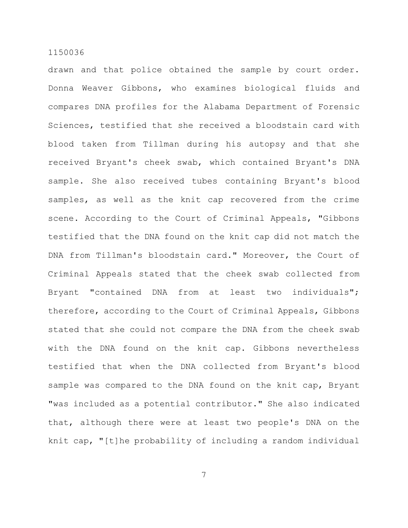drawn and that police obtained the sample by court order. Donna Weaver Gibbons, who examines biological fluids and compares DNA profiles for the Alabama Department of Forensic Sciences, testified that she received a bloodstain card with blood taken from Tillman during his autopsy and that she received Bryant's cheek swab, which contained Bryant's DNA sample. She also received tubes containing Bryant's blood samples, as well as the knit cap recovered from the crime scene. According to the Court of Criminal Appeals, "Gibbons testified that the DNA found on the knit cap did not match the DNA from Tillman's bloodstain card." Moreover, the Court of Criminal Appeals stated that the cheek swab collected from Bryant "contained DNA from at least two individuals"; therefore, according to the Court of Criminal Appeals, Gibbons stated that she could not compare the DNA from the cheek swab with the DNA found on the knit cap. Gibbons nevertheless testified that when the DNA collected from Bryant's blood sample was compared to the DNA found on the knit cap, Bryant "was included as a potential contributor." She also indicated that, although there were at least two people's DNA on the knit cap, "[t]he probability of including a random individual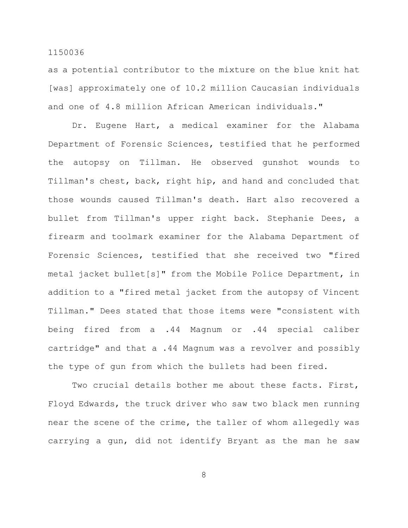as a potential contributor to the mixture on the blue knit hat [was] approximately one of 10.2 million Caucasian individuals and one of 4.8 million African American individuals."

Dr. Eugene Hart, a medical examiner for the Alabama Department of Forensic Sciences, testified that he performed the autopsy on Tillman. He observed gunshot wounds to Tillman's chest, back, right hip, and hand and concluded that those wounds caused Tillman's death. Hart also recovered a bullet from Tillman's upper right back. Stephanie Dees, a firearm and toolmark examiner for the Alabama Department of Forensic Sciences, testified that she received two "fired metal jacket bullet[s]" from the Mobile Police Department, in addition to a "fired metal jacket from the autopsy of Vincent Tillman." Dees stated that those items were "consistent with being fired from a .44 Magnum or .44 special caliber cartridge" and that a .44 Magnum was a revolver and possibly the type of gun from which the bullets had been fired.

Two crucial details bother me about these facts. First, Floyd Edwards, the truck driver who saw two black men running near the scene of the crime, the taller of whom allegedly was carrying a gun, did not identify Bryant as the man he saw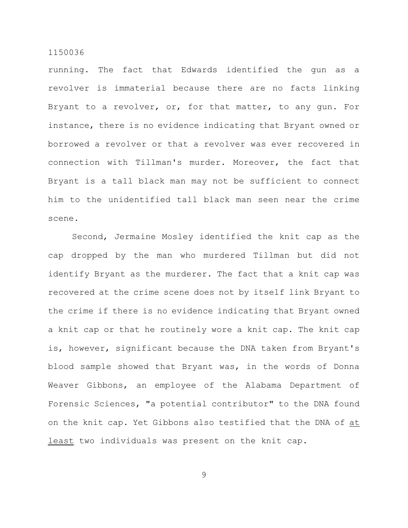running. The fact that Edwards identified the gun as a revolver is immaterial because there are no facts linking Bryant to a revolver, or, for that matter, to any gun. For instance, there is no evidence indicating that Bryant owned or borrowed a revolver or that a revolver was ever recovered in connection with Tillman's murder. Moreover, the fact that Bryant is a tall black man may not be sufficient to connect him to the unidentified tall black man seen near the crime scene.

Second, Jermaine Mosley identified the knit cap as the cap dropped by the man who murdered Tillman but did not identify Bryant as the murderer. The fact that a knit cap was recovered at the crime scene does not by itself link Bryant to the crime if there is no evidence indicating that Bryant owned a knit cap or that he routinely wore a knit cap. The knit cap is, however, significant because the DNA taken from Bryant's blood sample showed that Bryant was, in the words of Donna Weaver Gibbons, an employee of the Alabama Department of Forensic Sciences, "a potential contributor" to the DNA found on the knit cap. Yet Gibbons also testified that the DNA of at least two individuals was present on the knit cap.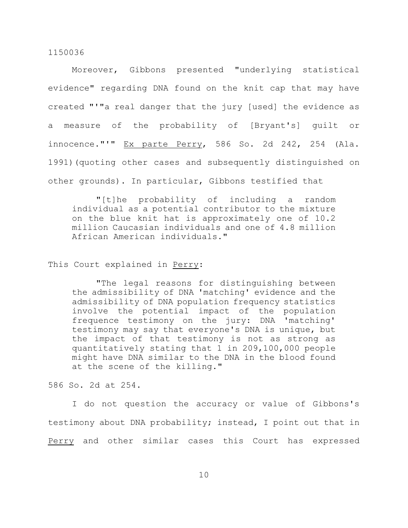Moreover, Gibbons presented "underlying statistical evidence" regarding DNA found on the knit cap that may have created "'"a real danger that the jury [used] the evidence as a measure of the probability of [Bryant's] guilt or innocence."'" Ex parte Perry, 586 So. 2d 242, 254 (Ala. 1991)(quoting other cases and subsequently distinguished on other grounds). In particular, Gibbons testified that

"[t]he probability of including a random individual as a potential contributor to the mixture on the blue knit hat is approximately one of 10.2 million Caucasian individuals and one of 4.8 million African American individuals."

## This Court explained in Perry:

"The legal reasons for distinguishing between the admissibility of DNA 'matching' evidence and the admissibility of DNA population frequency statistics involve the potential impact of the population frequence testimony on the jury: DNA 'matching' testimony may say that everyone's DNA is unique, but the impact of that testimony is not as strong as quantitatively stating that 1 in 209,100,000 people might have DNA similar to the DNA in the blood found at the scene of the killing."

586 So. 2d at 254.

I do not question the accuracy or value of Gibbons's testimony about DNA probability; instead, I point out that in Perry and other similar cases this Court has expressed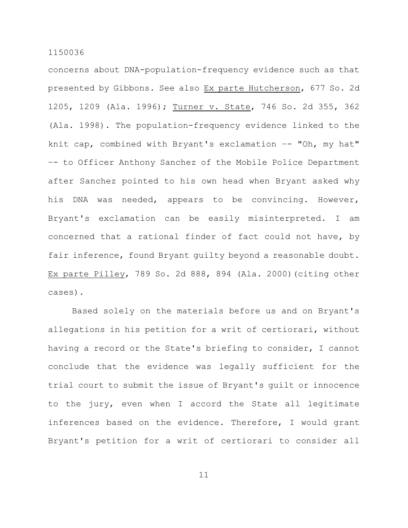concerns about DNA-population-frequency evidence such as that presented by Gibbons. See also Ex parte Hutcherson, 677 So. 2d 1205, 1209 (Ala. 1996); Turner v. State, 746 So. 2d 355, 362 (Ala. 1998). The population-frequency evidence linked to the knit cap, combined with Bryant's exclamation  $-$ - "Oh, my hat" –- to Officer Anthony Sanchez of the Mobile Police Department after Sanchez pointed to his own head when Bryant asked why his DNA was needed, appears to be convincing. However, Bryant's exclamation can be easily misinterpreted. I am concerned that a rational finder of fact could not have, by fair inference, found Bryant guilty beyond a reasonable doubt. Ex parte Pilley, 789 So. 2d 888, 894 (Ala. 2000)(citing other cases).

Based solely on the materials before us and on Bryant's allegations in his petition for a writ of certiorari, without having a record or the State's briefing to consider, I cannot conclude that the evidence was legally sufficient for the trial court to submit the issue of Bryant's guilt or innocence to the jury, even when I accord the State all legitimate inferences based on the evidence. Therefore, I would grant Bryant's petition for a writ of certiorari to consider all